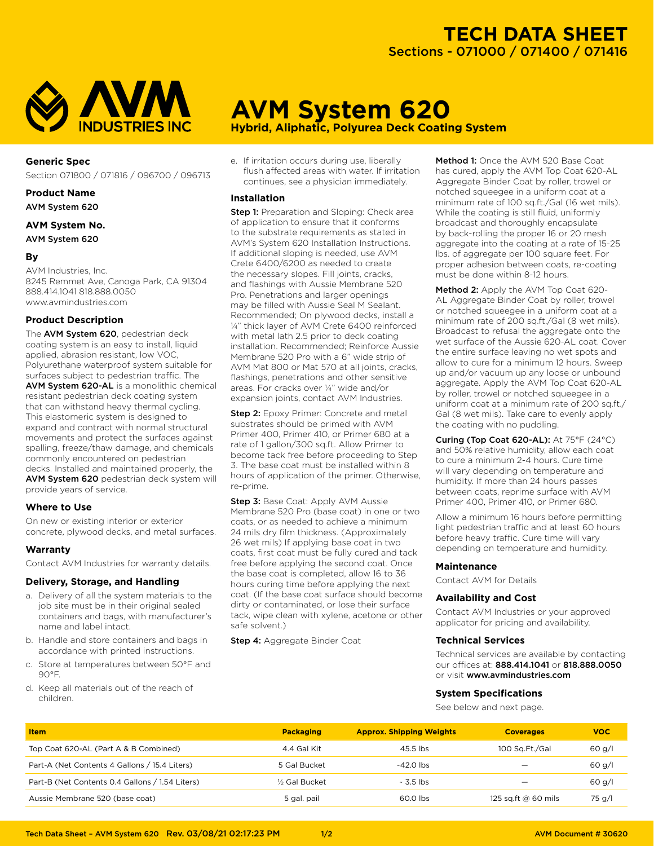

## **Generic Spec**

Section 071800 / 071816 / 096700 / 096713

**Product Name**

AVM System 620

## **AVM System No.** AVM System 620

## **By**

AVM Industries, Inc. 8245 Remmet Ave, Canoga Park, CA 91304 888.414.1041 818.888.0050 www.avmindustries.com

## **Product Description**

The AVM System 620, pedestrian deck coating system is an easy to install, liquid applied, abrasion resistant, low VOC, Polyurethane waterproof system suitable for surfaces subject to pedestrian traffic. The AVM System 620-AL is a monolithic chemical resistant pedestrian deck coating system that can withstand heavy thermal cycling. This elastomeric system is designed to expand and contract with normal structural movements and protect the surfaces against spalling, freeze/thaw damage, and chemicals commonly encountered on pedestrian decks. Installed and maintained properly, the AVM System 620 pedestrian deck system will provide years of service.

### **Where to Use**

On new or existing interior or exterior concrete, plywood decks, and metal surfaces.

## **Warranty**

Contact AVM Industries for warranty details.

### **Delivery, Storage, and Handling**

- a. Delivery of all the system materials to the job site must be in their original sealed containers and bags, with manufacturer's name and label intact.
- b. Handle and store containers and bags in accordance with printed instructions.
- c. Store at temperatures between 50°F and 90°F.
- d. Keep all materials out of the reach of children.

e. If irritation occurs during use, liberally flush affected areas with water. If irritation continues, see a physician immediately.

**AVM System 620**

**Hybrid, Aliphatic, Polyurea Deck Coating System** 

## **Installation**

**Step 1:** Preparation and Sloping: Check area of application to ensure that it conforms to the substrate requirements as stated in AVM's System 620 Installation Instructions. If additional sloping is needed, use AVM Crete 6400/6200 as needed to create the necessary slopes. Fill joints, cracks, and flashings with Aussie Membrane 520 Pro. Penetrations and larger openings may be filled with Aussie Seal M Sealant. Recommended; On plywood decks, install a ¼" thick layer of AVM Crete 6400 reinforced with metal lath 2.5 prior to deck coating installation. Recommended; Reinforce Aussie Membrane 520 Pro with a 6" wide strip of AVM Mat 800 or Mat 570 at all joints, cracks, flashings, penetrations and other sensitive areas. For cracks over ¼" wide and/or expansion joints, contact AVM Industries.

**Step 2:** Epoxy Primer: Concrete and metal substrates should be primed with AVM Primer 400, Primer 410, or Primer 680 at a rate of 1 gallon/300 sq.ft. Allow Primer to become tack free before proceeding to Step 3. The base coat must be installed within 8 hours of application of the primer. Otherwise, re-prime.

Step 3: Base Coat: Apply AVM Aussie Membrane 520 Pro (base coat) in one or two coats, or as needed to achieve a minimum 24 mils dry film thickness. (Approximately 26 wet mils) If applying base coat in two coats, first coat must be fully cured and tack free before applying the second coat. Once the base coat is completed, allow 16 to 36 hours curing time before applying the next coat. (If the base coat surface should become dirty or contaminated, or lose their surface tack, wipe clean with xylene, acetone or other safe solvent.)

Step 4: Aggregate Binder Coat

Method 1: Once the AVM 520 Base Coat has cured, apply the AVM Top Coat 620-AL Aggregate Binder Coat by roller, trowel or notched squeegee in a uniform coat at a minimum rate of 100 sq.ft./Gal (16 wet mils). While the coating is still fluid, uniformly broadcast and thoroughly encapsulate by back-rolling the proper 16 or 20 mesh aggregate into the coating at a rate of 15-25 lbs. of aggregate per 100 square feet. For proper adhesion between coats, re-coating must be done within 8-12 hours.

Method 2: Apply the AVM Top Coat 620-AL Aggregate Binder Coat by roller, trowel or notched squeegee in a uniform coat at a minimum rate of 200 sq.ft./Gal (8 wet mils). Broadcast to refusal the aggregate onto the wet surface of the Aussie 620-AL coat. Cover the entire surface leaving no wet spots and allow to cure for a minimum 12 hours. Sweep up and/or vacuum up any loose or unbound aggregate. Apply the AVM Top Coat 620-AL by roller, trowel or notched squeegee in a uniform coat at a minimum rate of 200 sq.ft./ Gal (8 wet mils). Take care to evenly apply the coating with no puddling.

Curing (Top Coat 620-AL): At 75°F (24°C) and 50% relative humidity, allow each coat to cure a minimum 2-4 hours. Cure time will vary depending on temperature and humidity. If more than 24 hours passes between coats, reprime surface with AVM Primer 400, Primer 410, or Primer 680.

Allow a minimum 16 hours before permitting light pedestrian traffic and at least 60 hours before heavy traffic. Cure time will vary depending on temperature and humidity.

### **Maintenance**

Contact AVM for Details

### **Availability and Cost**

Contact AVM Industries or your approved applicator for pricing and availability.

## **Technical Services**

Technical services are available by contacting our offices at: 888.414.1041 or 818.888.0050 or visit www.avmindustries.com

### **System Specifications**

See below and next page.

| <b>Item</b>                                     | <b>Packaging</b>           | <b>Approx. Shipping Weights</b> | <b>Coverages</b>    | <b>VOC</b> |
|-------------------------------------------------|----------------------------|---------------------------------|---------------------|------------|
| Top Coat 620-AL (Part A & B Combined)           | 4.4 Gal Kit                | 45.5 lbs                        | 100 Sg.Ft./Gal      | 60 g/l     |
| Part-A (Net Contents 4 Gallons / 15.4 Liters)   | 5 Gal Bucket               | $-42.0$ lbs                     |                     | $60$ g/l   |
| Part-B (Net Contents 0.4 Gallons / 1.54 Liters) | 1/ <sub>2</sub> Gal Bucket | $\sim$ 3.5 lbs                  |                     | 60 g/l     |
| Aussie Membrane 520 (base coat)                 | 5 gal. pail                | 60.0 lbs                        | 125 sq.ft @ 60 mils | 75 g/l     |